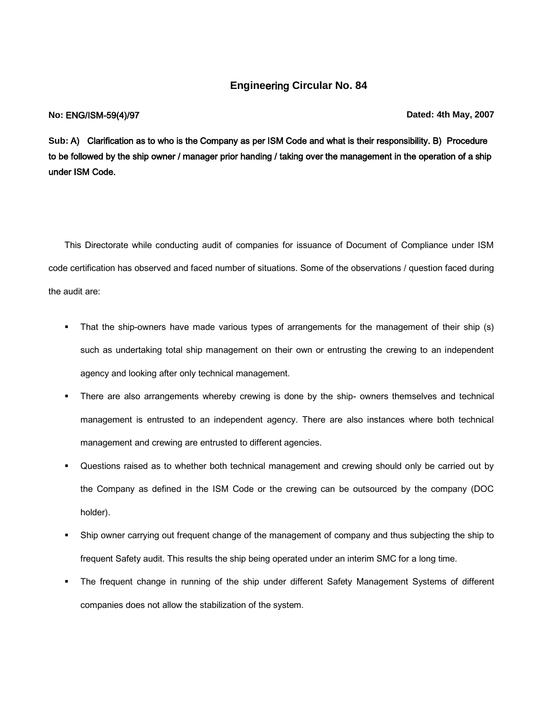## **Engine**ering **Circular No. 84**

### **No:** ENG/ISM-59(4)/97 **Dated: 4th May, 2007**

**Sub:** A) Clarification as to who is the Company as per ISM Code and what is their responsibility. B) Procedure to be followed by the ship owner / manager prior handing / taking over the management in the operation of a ship under ISM Code.

This Directorate while conducting audit of companies for issuance of Document of Compliance under ISM code certification has observed and faced number of situations. Some of the observations / question faced during the audit are:

- That the ship-owners have made various types of arrangements for the management of their ship (s) such as undertaking total ship management on their own or entrusting the crewing to an independent agency and looking after only technical management.
- There are also arrangements whereby crewing is done by the ship- owners themselves and technical management is entrusted to an independent agency. There are also instances where both technical management and crewing are entrusted to different agencies.
- Questions raised as to whether both technical management and crewing should only be carried out by the Company as defined in the ISM Code or the crewing can be outsourced by the company (DOC holder).
- Ship owner carrying out frequent change of the management of company and thus subjecting the ship to frequent Safety audit. This results the ship being operated under an interim SMC for a long time.
- The frequent change in running of the ship under different Safety Management Systems of different companies does not allow the stabilization of the system.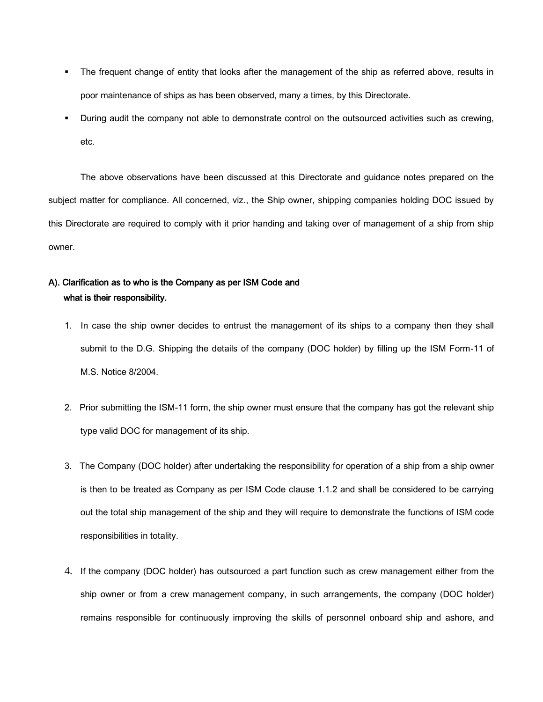- The frequent change of entity that looks after the management of the ship as referred above, results in poor maintenance of ships as has been observed, many a times, by this Directorate.
- During audit the company not able to demonstrate control on the outsourced activities such as crewing, etc.

The above observations have been discussed at this Directorate and guidance notes prepared on the subject matter for compliance. All concerned, viz., the Ship owner, shipping companies holding DOC issued by this Directorate are required to comply with it prior handing and taking over of management of a ship from ship owner.

## A). Clarification as to who is the Company as per ISM Code and what is their responsibility.

- 1. In case the ship owner decides to entrust the management of its ships to a company then they shall submit to the D.G. Shipping the details of the company (DOC holder) by filling up the ISM Form-11 of M.S. Notice 8/2004.
- 2. Prior submitting the ISM-11 form, the ship owner must ensure that the company has got the relevant ship type valid DOC for management of its ship.
- 3. The Company (DOC holder) after undertaking the responsibility for operation of a ship from a ship owner is then to be treated as Company as per ISM Code clause 1.1.2 and shall be considered to be carrying out the total ship management of the ship and they will require to demonstrate the functions of ISM code responsibilities in totality.
- 4. If the company (DOC holder) has outsourced a part function such as crew management either from the ship owner or from a crew management company, in such arrangements, the company (DOC holder) remains responsible for continuously improving the skills of personnel onboard ship and ashore, and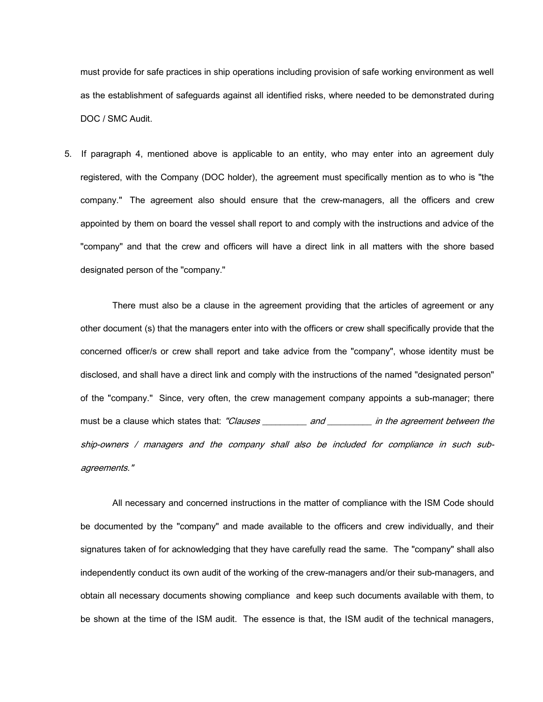must provide for safe practices in ship operations including provision of safe working environment as well as the establishment of safeguards against all identified risks, where needed to be demonstrated during DOC / SMC Audit.

5. If paragraph 4, mentioned above is applicable to an entity, who may enter into an agreement duly registered, with the Company (DOC holder), the agreement must specifically mention as to who is "the company." The agreement also should ensure that the crew-managers, all the officers and crew appointed by them on board the vessel shall report to and comply with the instructions and advice of the "company" and that the crew and officers will have a direct link in all matters with the shore based designated person of the "company."

There must also be a clause in the agreement providing that the articles of agreement or any other document (s) that the managers enter into with the officers or crew shall specifically provide that the concerned officer/s or crew shall report and take advice from the "company", whose identity must be disclosed, and shall have a direct link and comply with the instructions of the named "designated person" of the "company." Since, very often, the crew management company appoints a sub-manager; there must be a clause which states that: "Clauses and and anti-line the agreement between the ship-owners / managers and the company shall also be included for compliance in such subagreements."

All necessary and concerned instructions in the matter of compliance with the ISM Code should be documented by the "company" and made available to the officers and crew individually, and their signatures taken of for acknowledging that they have carefully read the same. The "company" shall also independently conduct its own audit of the working of the crew-managers and/or their sub-managers, and obtain all necessary documents showing compliance and keep such documents available with them, to be shown at the time of the ISM audit. The essence is that, the ISM audit of the technical managers,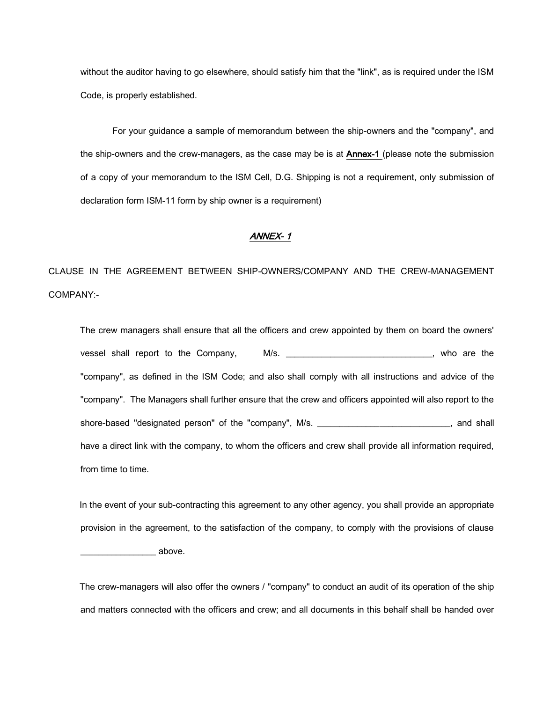without the auditor having to go elsewhere, should satisfy him that the "link", as is required under the ISM Code, is properly established.

For your guidance a sample of memorandum between the ship-owners and the "company", and the ship-owners and the crew-managers, as the case may be is at **Annex-1** (please note the submission of a copy of your memorandum to the ISM Cell, D.G. Shipping is not a requirement, only submission of declaration form ISM-11 form by ship owner is a requirement)

## ANNEX- 1

CLAUSE IN THE AGREEMENT BETWEEN SHIP-OWNERS/COMPANY AND THE CREW-MANAGEMENT COMPANY:-

 The crew managers shall ensure that all the officers and crew appointed by them on board the owners' vessel shall report to the Company, M/s. The company of the state of the state of the state of the vertex of the "company", as defined in the ISM Code; and also shall comply with all instructions and advice of the "company". The Managers shall further ensure that the crew and officers appointed will also report to the shore-based "designated person" of the "company", M/s. **Example 20** and shall have a direct link with the company, to whom the officers and crew shall provide all information required, from time to time.

 In the event of your sub-contracting this agreement to any other agency, you shall provide an appropriate provision in the agreement, to the satisfaction of the company, to comply with the provisions of clause \_\_\_\_\_\_\_\_\_\_\_\_\_\_\_\_\_ above.

 The crew-managers will also offer the owners / "company" to conduct an audit of its operation of the ship and matters connected with the officers and crew; and all documents in this behalf shall be handed over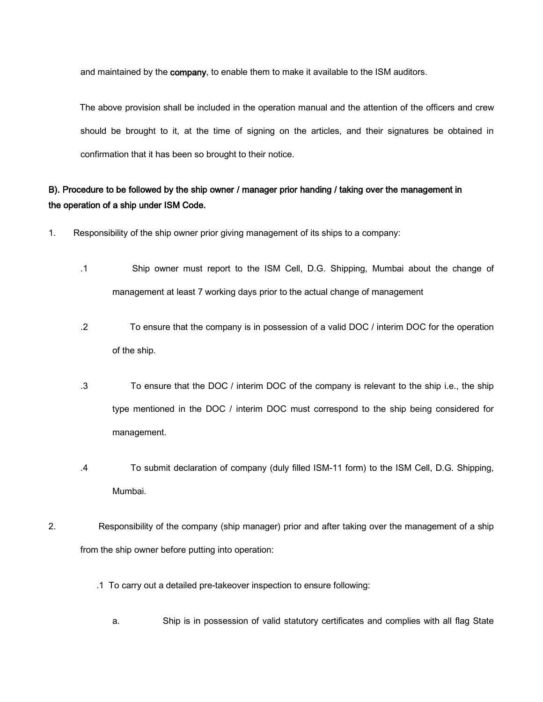and maintained by the **company**, to enable them to make it available to the ISM auditors.

 The above provision shall be included in the operation manual and the attention of the officers and crew should be brought to it, at the time of signing on the articles, and their signatures be obtained in confirmation that it has been so brought to their notice.

# B). Procedure to be followed by the ship owner / manager prior handing / taking over the management in the operation of a ship under ISM Code.

- 1. Responsibility of the ship owner prior giving management of its ships to a company:
	- .1 Ship owner must report to the ISM Cell, D.G. Shipping, Mumbai about the change of management at least 7 working days prior to the actual change of management
	- .2 To ensure that the company is in possession of a valid DOC / interim DOC for the operation of the ship.
	- .3 To ensure that the DOC / interim DOC of the company is relevant to the ship i.e., the ship type mentioned in the DOC / interim DOC must correspond to the ship being considered for management.
	- .4 To submit declaration of company (duly filled ISM-11 form) to the ISM Cell, D.G. Shipping, Mumbai.
- 2. Responsibility of the company (ship manager) prior and after taking over the management of a ship from the ship owner before putting into operation:
	- .1 To carry out a detailed pre-takeover inspection to ensure following:
		- a. Ship is in possession of valid statutory certificates and complies with all flag State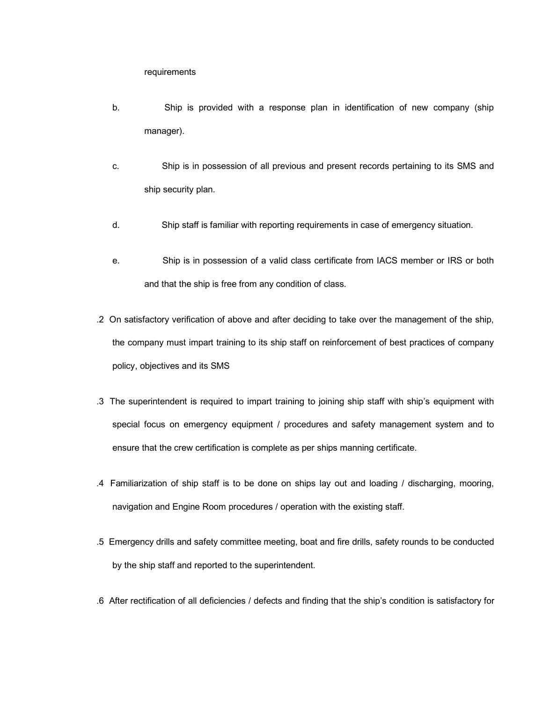#### requirements

- b. Ship is provided with a response plan in identification of new company (ship manager).
- c. Ship is in possession of all previous and present records pertaining to its SMS and ship security plan.
- d. Ship staff is familiar with reporting requirements in case of emergency situation.
- e. Ship is in possession of a valid class certificate from IACS member or IRS or both and that the ship is free from any condition of class.
- .2 On satisfactory verification of above and after deciding to take over the management of the ship, the company must impart training to its ship staff on reinforcement of best practices of company policy, objectives and its SMS
- .3 The superintendent is required to impart training to joining ship staff with ship's equipment with special focus on emergency equipment / procedures and safety management system and to ensure that the crew certification is complete as per ships manning certificate.
- .4 Familiarization of ship staff is to be done on ships lay out and loading / discharging, mooring, navigation and Engine Room procedures / operation with the existing staff.
- .5 Emergency drills and safety committee meeting, boat and fire drills, safety rounds to be conducted by the ship staff and reported to the superintendent.
- .6 After rectification of all deficiencies / defects and finding that the ship's condition is satisfactory for